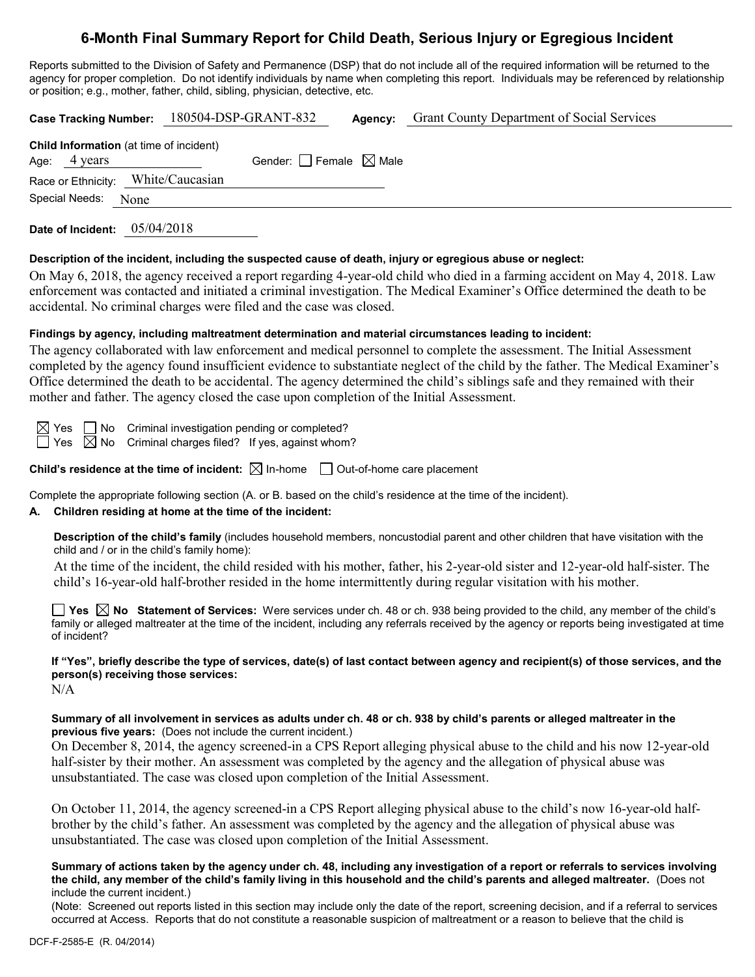# **6-Month Final Summary Report for Child Death, Serious Injury or Egregious Incident**

Reports submitted to the Division of Safety and Permanence (DSP) that do not include all of the required information will be returned to the agency for proper completion. Do not identify individuals by name when completing this report. Individuals may be referenced by relationship or position; e.g., mother, father, child, sibling, physician, detective, etc.

| Case Tracking Number: 180504-DSP-GRANT-832                     |  |                                 | Agency: | <b>Grant County Department of Social Services</b> |
|----------------------------------------------------------------|--|---------------------------------|---------|---------------------------------------------------|
| <b>Child Information</b> (at time of incident)<br>Age: 4 years |  | Gender: Female $\boxtimes$ Male |         |                                                   |
| Race or Ethnicity: White/Caucasian                             |  |                                 |         |                                                   |
| Special Needs: None                                            |  |                                 |         |                                                   |
|                                                                |  |                                 |         |                                                   |

**Date of Incident:** 05/04/2018

### **Description of the incident, including the suspected cause of death, injury or egregious abuse or neglect:**

On May 6, 2018, the agency received a report regarding 4-year-old child who died in a farming accident on May 4, 2018. Law enforcement was contacted and initiated a criminal investigation. The Medical Examiner's Office determined the death to be accidental. No criminal charges were filed and the case was closed.

### **Findings by agency, including maltreatment determination and material circumstances leading to incident:**

The agency collaborated with law enforcement and medical personnel to complete the assessment. The Initial Assessment completed by the agency found insufficient evidence to substantiate neglect of the child by the father. The Medical Examiner's Office determined the death to be accidental. The agency determined the child's siblings safe and they remained with their mother and father. The agency closed the case upon completion of the Initial Assessment.

 $\boxtimes$  Yes  $\Box$  No Criminal investigation pending or completed?

 $\Box$  Yes  $\Box$  No Criminal charges filed? If yes, against whom?

**Child's residence at the time of incident:**  $\boxtimes$  In-home  $\Box$  Out-of-home care placement

Complete the appropriate following section (A. or B. based on the child's residence at the time of the incident).

### **A. Children residing at home at the time of the incident:**

**Description of the child's family** (includes household members, noncustodial parent and other children that have visitation with the child and / or in the child's family home):

At the time of the incident, the child resided with his mother, father, his 2-year-old sister and 12-year-old half-sister. The child's 16-year-old half-brother resided in the home intermittently during regular visitation with his mother.

**Yes No Statement of Services:** Were services under ch. 48 or ch. 938 being provided to the child, any member of the child's family or alleged maltreater at the time of the incident, including any referrals received by the agency or reports being investigated at time of incident?

# **If "Yes", briefly describe the type of services, date(s) of last contact between agency and recipient(s) of those services, and the person(s) receiving those services:**

 $N/A$ 

### **Summary of all involvement in services as adults under ch. 48 or ch. 938 by child's parents or alleged maltreater in the previous five years:** (Does not include the current incident.)

On December 8, 2014, the agency screened-in a CPS Report alleging physical abuse to the child and his now 12-year-old half-sister by their mother. An assessment was completed by the agency and the allegation of physical abuse was unsubstantiated. The case was closed upon completion of the Initial Assessment.

On October 11, 2014, the agency screened-in a CPS Report alleging physical abuse to the child's now 16-year-old halfbrother by the child's father. An assessment was completed by the agency and the allegation of physical abuse was unsubstantiated. The case was closed upon completion of the Initial Assessment.

#### **Summary of actions taken by the agency under ch. 48, including any investigation of a report or referrals to services involving the child, any member of the child's family living in this household and the child's parents and alleged maltreater.** (Does not include the current incident.)

(Note: Screened out reports listed in this section may include only the date of the report, screening decision, and if a referral to services occurred at Access. Reports that do not constitute a reasonable suspicion of maltreatment or a reason to believe that the child is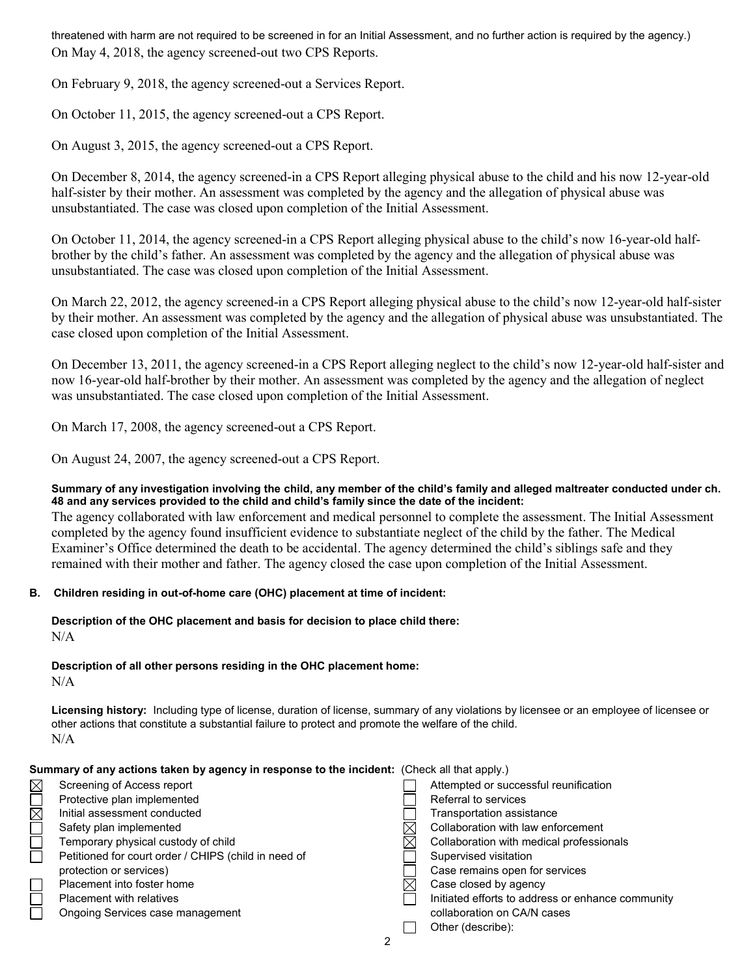threatened with harm are not required to be screened in for an Initial Assessment, and no further action is required by the agency.) On May 4, 2018, the agency screened-out two CPS Reports.

On February 9, 2018, the agency screened-out a Services Report.

On October 11, 2015, the agency screened-out a CPS Report.

On August 3, 2015, the agency screened-out a CPS Report.

On December 8, 2014, the agency screened-in a CPS Report alleging physical abuse to the child and his now 12-year-old half-sister by their mother. An assessment was completed by the agency and the allegation of physical abuse was unsubstantiated. The case was closed upon completion of the Initial Assessment.

On October 11, 2014, the agency screened-in a CPS Report alleging physical abuse to the child's now 16-year-old halfbrother by the child's father. An assessment was completed by the agency and the allegation of physical abuse was unsubstantiated. The case was closed upon completion of the Initial Assessment.

On March 22, 2012, the agency screened-in a CPS Report alleging physical abuse to the child's now 12-year-old half-sister by their mother. An assessment was completed by the agency and the allegation of physical abuse was unsubstantiated. The case closed upon completion of the Initial Assessment.

On December 13, 2011, the agency screened-in a CPS Report alleging neglect to the child's now 12-year-old half-sister and now 16-year-old half-brother by their mother. An assessment was completed by the agency and the allegation of neglect was unsubstantiated. The case closed upon completion of the Initial Assessment.

On March 17, 2008, the agency screened-out a CPS Report.

On August 24, 2007, the agency screened-out a CPS Report.

### **Summary of any investigation involving the child, any member of the child's family and alleged maltreater conducted under ch. 48 and any services provided to the child and child's family since the date of the incident:**

The agency collaborated with law enforcement and medical personnel to complete the assessment. The Initial Assessment completed by the agency found insufficient evidence to substantiate neglect of the child by the father. The Medical Examiner's Office determined the death to be accidental. The agency determined the child's siblings safe and they remained with their mother and father. The agency closed the case upon completion of the Initial Assessment.

# **B. Children residing in out-of-home care (OHC) placement at time of incident:**

**Description of the OHC placement and basis for decision to place child there:** N/A

# **Description of all other persons residing in the OHC placement home:**

 $N/A$ 

**Licensing history:** Including type of license, duration of license, summary of any violations by licensee or an employee of licensee or other actions that constitute a substantial failure to protect and promote the welfare of the child. N/A

|             | Summary of any actions taken by agency in response to the incident: (Check all that apply.) |  |                                                   |  |
|-------------|---------------------------------------------------------------------------------------------|--|---------------------------------------------------|--|
| $\boxtimes$ | Screening of Access report                                                                  |  | Attempted or successful reunification             |  |
|             | Protective plan implemented                                                                 |  | Referral to services                              |  |
| $\boxtimes$ | Initial assessment conducted                                                                |  | Transportation assistance                         |  |
|             | Safety plan implemented                                                                     |  | Collaboration with law enforcement                |  |
|             | Temporary physical custody of child                                                         |  | Collaboration with medical professionals          |  |
| $\Box$      | Petitioned for court order / CHIPS (child in need of                                        |  | Supervised visitation                             |  |
|             | protection or services)                                                                     |  | Case remains open for services                    |  |
|             | Placement into foster home                                                                  |  | Case closed by agency                             |  |
|             | <b>Placement with relatives</b>                                                             |  | Initiated efforts to address or enhance community |  |
|             | Ongoing Services case management                                                            |  | collaboration on CA/N cases                       |  |
|             |                                                                                             |  | Other (describe):                                 |  |
|             | 2                                                                                           |  |                                                   |  |